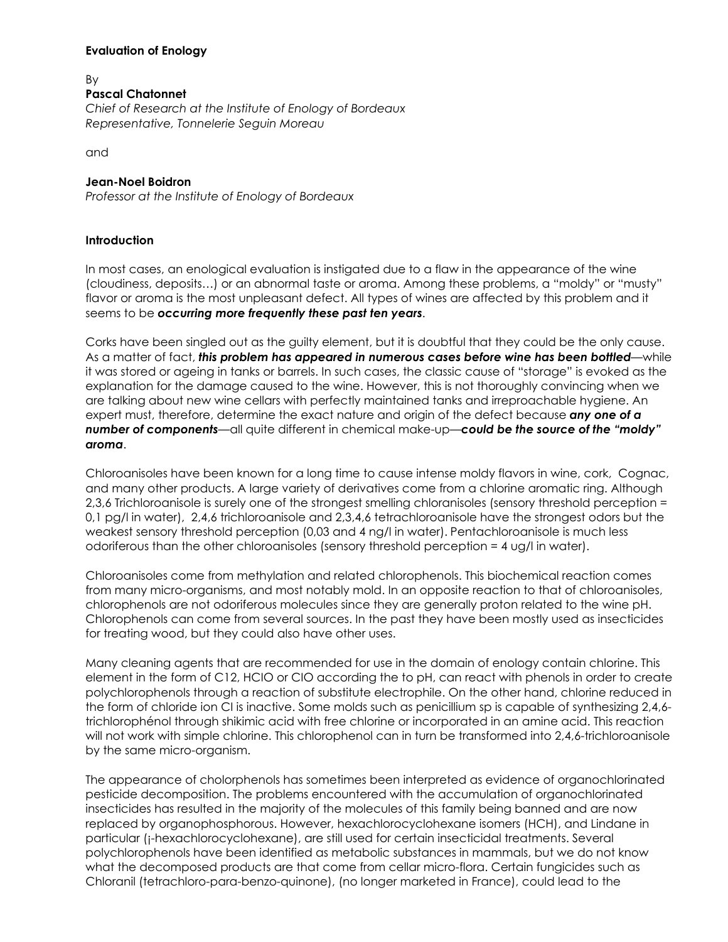## **Evaluation of Enology**

#### By **Pascal Chatonnet**

*Chief of Research at the Institute of Enology of Bordeaux Representative, Tonnelerie Seguin Moreau*

and

## **Jean-Noel Boidron**

*Professor at the Institute of Enology of Bordeaux*

## **Introduction**

In most cases, an enological evaluation is instigated due to a flaw in the appearance of the wine (cloudiness, deposits…) or an abnormal taste or aroma. Among these problems, a "moldy" or "musty" flavor or aroma is the most unpleasant defect. All types of wines are affected by this problem and it seems to be *occurring more frequently these past ten years*.

Corks have been singled out as the guilty element, but it is doubtful that they could be the only cause. As a matter of fact, *this problem has appeared in numerous cases before wine has been bottled*—while it was stored or ageing in tanks or barrels. In such cases, the classic cause of "storage" is evoked as the explanation for the damage caused to the wine. However, this is not thoroughly convincing when we are talking about new wine cellars with perfectly maintained tanks and irreproachable hygiene. An expert must, therefore, determine the exact nature and origin of the defect because *any one of a number of components*—all quite different in chemical make-up—*could be the source of the "moldy" aroma*.

Chloroanisoles have been known for a long time to cause intense moldy flavors in wine, cork, Cognac, and many other products. A large variety of derivatives come from a chlorine aromatic ring. Although 2,3,6 Trichloroanisole is surely one of the strongest smelling chloranisoles (sensory threshold perception = 0,1 pg/l in water), 2,4,6 trichloroanisole and 2,3,4,6 tetrachloroanisole have the strongest odors but the weakest sensory threshold perception (0,03 and 4 ng/l in water). Pentachloroanisole is much less odoriferous than the other chloroanisoles (sensory threshold perception = 4 ug/l in water).

Chloroanisoles come from methylation and related chlorophenols. This biochemical reaction comes from many micro-organisms, and most notably mold. In an opposite reaction to that of chloroanisoles, chlorophenols are not odoriferous molecules since they are generally proton related to the wine pH. Chlorophenols can come from several sources. In the past they have been mostly used as insecticides for treating wood, but they could also have other uses.

Many cleaning agents that are recommended for use in the domain of enology contain chlorine. This element in the form of C12, HCIO or CIO according the to pH, can react with phenols in order to create polychlorophenols through a reaction of substitute electrophile. On the other hand, chlorine reduced in the form of chloride ion CI is inactive. Some molds such as penicillium sp is capable of synthesizing 2,4,6trichlorophénol through shikimic acid with free chlorine or incorporated in an amine acid. This reaction will not work with simple chlorine. This chlorophenol can in turn be transformed into 2,4,6-trichloroanisole by the same micro-organism.

The appearance of cholorphenols has sometimes been interpreted as evidence of organochlorinated pesticide decomposition. The problems encountered with the accumulation of organochlorinated insecticides has resulted in the majority of the molecules of this family being banned and are now replaced by organophosphorous. However, hexachlorocyclohexane isomers (HCH), and Lindane in particular (¡-hexachlorocyclohexane), are still used for certain insecticidal treatments. Several polychlorophenols have been identified as metabolic substances in mammals, but we do not know what the decomposed products are that come from cellar micro-flora. Certain fungicides such as Chloranil (tetrachloro-para-benzo-quinone), (no longer marketed in France), could lead to the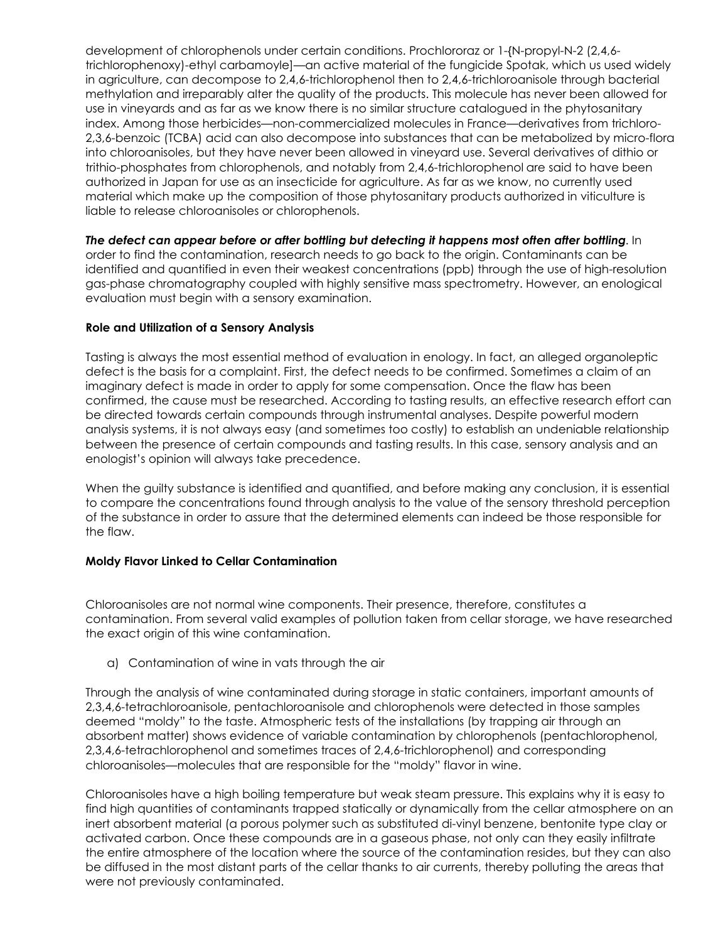development of chlorophenols under certain conditions. Prochlororaz or 1-{N-propyl-N-2 (2,4,6 trichlorophenoxy)-ethyl carbamoyle]—an active material of the fungicide Spotak, which us used widely in agriculture, can decompose to 2,4,6-trichlorophenol then to 2,4,6-trichloroanisole through bacterial methylation and irreparably alter the quality of the products. This molecule has never been allowed for use in vineyards and as far as we know there is no similar structure catalogued in the phytosanitary index. Among those herbicides—non-commercialized molecules in France—derivatives from trichloro-2,3,6-benzoic (TCBA) acid can also decompose into substances that can be metabolized by micro-flora into chloroanisoles, but they have never been allowed in vineyard use. Several derivatives of dithio or trithio-phosphates from chlorophenols, and notably from 2,4,6-trichlorophenol are said to have been authorized in Japan for use as an insecticide for agriculture. As far as we know, no currently used material which make up the composition of those phytosanitary products authorized in viticulture is liable to release chloroanisoles or chlorophenols.

*The defect can appear before or after bottling but detecting it happens most often after bottling*. In order to find the contamination, research needs to go back to the origin. Contaminants can be identified and quantified in even their weakest concentrations (ppb) through the use of high-resolution gas-phase chromatography coupled with highly sensitive mass spectrometry. However, an enological evaluation must begin with a sensory examination.

## **Role and Utilization of a Sensory Analysis**

Tasting is always the most essential method of evaluation in enology. In fact, an alleged organoleptic defect is the basis for a complaint. First, the defect needs to be confirmed. Sometimes a claim of an imaginary defect is made in order to apply for some compensation. Once the flaw has been confirmed, the cause must be researched. According to tasting results, an effective research effort can be directed towards certain compounds through instrumental analyses. Despite powerful modern analysis systems, it is not always easy (and sometimes too costly) to establish an undeniable relationship between the presence of certain compounds and tasting results. In this case, sensory analysis and an enologist's opinion will always take precedence.

When the guilty substance is identified and quantified, and before making any conclusion, it is essential to compare the concentrations found through analysis to the value of the sensory threshold perception of the substance in order to assure that the determined elements can indeed be those responsible for the flaw.

## **Moldy Flavor Linked to Cellar Contamination**

Chloroanisoles are not normal wine components. Their presence, therefore, constitutes a contamination. From several valid examples of pollution taken from cellar storage, we have researched the exact origin of this wine contamination.

a) Contamination of wine in vats through the air

Through the analysis of wine contaminated during storage in static containers, important amounts of 2,3,4,6-tetrachloroanisole, pentachloroanisole and chlorophenols were detected in those samples deemed "moldy" to the taste. Atmospheric tests of the installations (by trapping air through an absorbent matter) shows evidence of variable contamination by chlorophenols (pentachlorophenol, 2,3,4,6-tetrachlorophenol and sometimes traces of 2,4,6-trichlorophenol) and corresponding chloroanisoles—molecules that are responsible for the "moldy" flavor in wine.

Chloroanisoles have a high boiling temperature but weak steam pressure. This explains why it is easy to find high quantities of contaminants trapped statically or dynamically from the cellar atmosphere on an inert absorbent material (a porous polymer such as substituted di-vinyl benzene, bentonite type clay or activated carbon. Once these compounds are in a gaseous phase, not only can they easily infiltrate the entire atmosphere of the location where the source of the contamination resides, but they can also be diffused in the most distant parts of the cellar thanks to air currents, thereby polluting the areas that were not previously contaminated.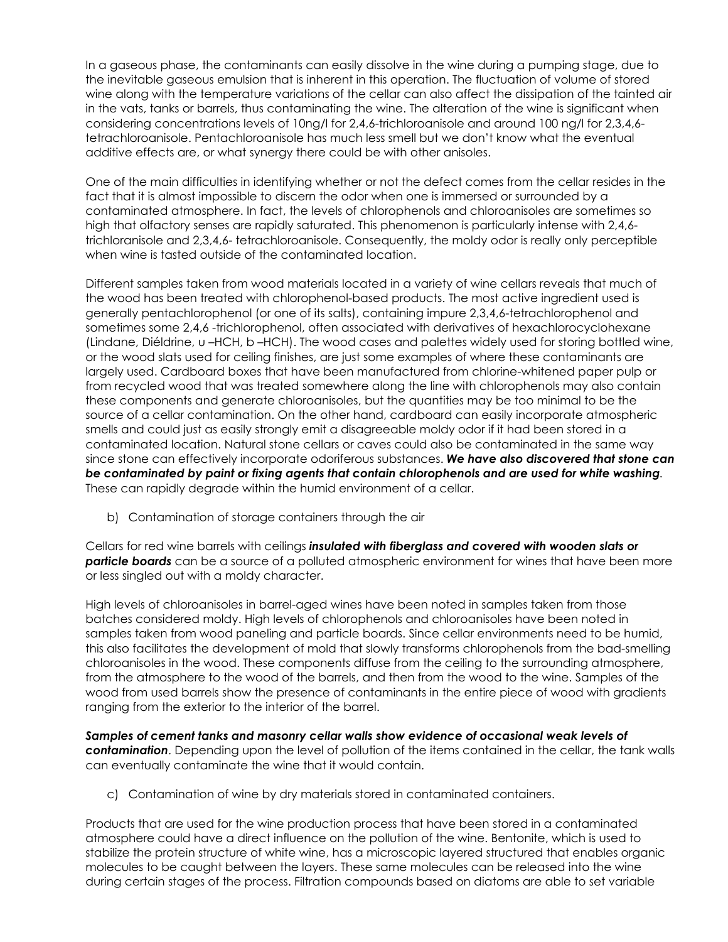In a gaseous phase, the contaminants can easily dissolve in the wine during a pumping stage, due to the inevitable gaseous emulsion that is inherent in this operation. The fluctuation of volume of stored wine along with the temperature variations of the cellar can also affect the dissipation of the tainted air in the vats, tanks or barrels, thus contaminating the wine. The alteration of the wine is significant when considering concentrations levels of 10ng/l for 2,4,6-trichloroanisole and around 100 ng/l for 2,3,4,6 tetrachloroanisole. Pentachloroanisole has much less smell but we don't know what the eventual additive effects are, or what synergy there could be with other anisoles.

One of the main difficulties in identifying whether or not the defect comes from the cellar resides in the fact that it is almost impossible to discern the odor when one is immersed or surrounded by a contaminated atmosphere. In fact, the levels of chlorophenols and chloroanisoles are sometimes so high that olfactory senses are rapidly saturated. This phenomenon is particularly intense with 2,4,6 trichloranisole and 2,3,4,6- tetrachloroanisole. Consequently, the moldy odor is really only perceptible when wine is tasted outside of the contaminated location.

Different samples taken from wood materials located in a variety of wine cellars reveals that much of the wood has been treated with chlorophenol-based products. The most active ingredient used is generally pentachlorophenol (or one of its salts), containing impure 2,3,4,6-tetrachlorophenol and sometimes some 2,4,6 -trichlorophenol, often associated with derivatives of hexachlorocyclohexane (Lindane, Diéldrine, u –HCH, b –HCH). The wood cases and palettes widely used for storing bottled wine, or the wood slats used for ceiling finishes, are just some examples of where these contaminants are largely used. Cardboard boxes that have been manufactured from chlorine-whitened paper pulp or from recycled wood that was treated somewhere along the line with chlorophenols may also contain these components and generate chloroanisoles, but the quantities may be too minimal to be the source of a cellar contamination. On the other hand, cardboard can easily incorporate atmospheric smells and could just as easily strongly emit a disagreeable moldy odor if it had been stored in a contaminated location. Natural stone cellars or caves could also be contaminated in the same way since stone can effectively incorporate odoriferous substances. *We have also discovered that stone can be contaminated by paint or fixing agents that contain chlorophenols and are used for white washing*. These can rapidly degrade within the humid environment of a cellar.

b) Contamination of storage containers through the air

Cellars for red wine barrels with ceilings *insulated with fiberglass and covered with wooden slats or particle boards* can be a source of a polluted atmospheric environment for wines that have been more or less singled out with a moldy character.

High levels of chloroanisoles in barrel-aged wines have been noted in samples taken from those batches considered moldy. High levels of chlorophenols and chloroanisoles have been noted in samples taken from wood paneling and particle boards. Since cellar environments need to be humid, this also facilitates the development of mold that slowly transforms chlorophenols from the bad-smelling chloroanisoles in the wood. These components diffuse from the ceiling to the surrounding atmosphere, from the atmosphere to the wood of the barrels, and then from the wood to the wine. Samples of the wood from used barrels show the presence of contaminants in the entire piece of wood with gradients ranging from the exterior to the interior of the barrel.

*Samples of cement tanks and masonry cellar walls show evidence of occasional weak levels of contamination*. Depending upon the level of pollution of the items contained in the cellar, the tank walls can eventually contaminate the wine that it would contain.

c) Contamination of wine by dry materials stored in contaminated containers.

Products that are used for the wine production process that have been stored in a contaminated atmosphere could have a direct influence on the pollution of the wine. Bentonite, which is used to stabilize the protein structure of white wine, has a microscopic layered structured that enables organic molecules to be caught between the layers. These same molecules can be released into the wine during certain stages of the process. Filtration compounds based on diatoms are able to set variable